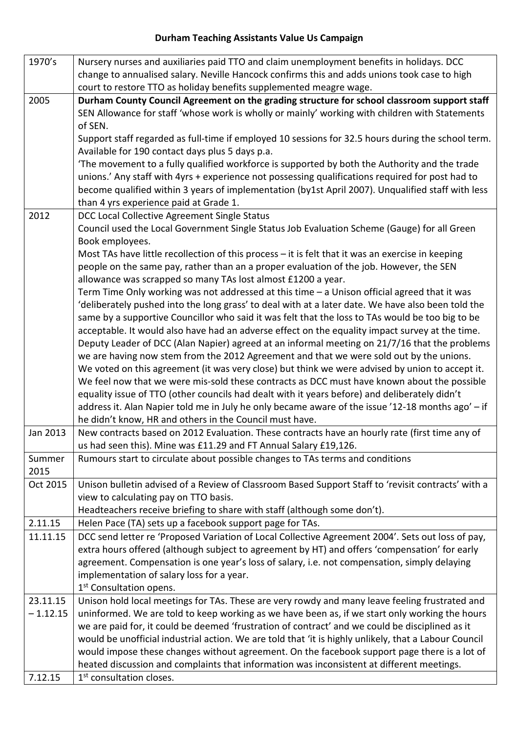## **Durham Teaching Assistants Value Us Campaign**

| 1970's     | Nursery nurses and auxiliaries paid TTO and claim unemployment benefits in holidays. DCC              |
|------------|-------------------------------------------------------------------------------------------------------|
|            | change to annualised salary. Neville Hancock confirms this and adds unions took case to high          |
|            | court to restore TTO as holiday benefits supplemented meagre wage.                                    |
| 2005       | Durham County Council Agreement on the grading structure for school classroom support staff           |
|            | SEN Allowance for staff 'whose work is wholly or mainly' working with children with Statements        |
|            | of SEN.                                                                                               |
|            | Support staff regarded as full-time if employed 10 sessions for 32.5 hours during the school term.    |
|            | Available for 190 contact days plus 5 days p.a.                                                       |
|            | The movement to a fully qualified workforce is supported by both the Authority and the trade          |
|            | unions.' Any staff with 4yrs + experience not possessing qualifications required for post had to      |
|            | become qualified within 3 years of implementation (by1st April 2007). Unqualified staff with less     |
|            | than 4 yrs experience paid at Grade 1.                                                                |
| 2012       | DCC Local Collective Agreement Single Status                                                          |
|            | Council used the Local Government Single Status Job Evaluation Scheme (Gauge) for all Green           |
|            | Book employees.                                                                                       |
|            | Most TAs have little recollection of this process $-$ it is felt that it was an exercise in keeping   |
|            | people on the same pay, rather than an a proper evaluation of the job. However, the SEN               |
|            | allowance was scrapped so many TAs lost almost £1200 a year.                                          |
|            | Term Time Only working was not addressed at this time - a Unison official agreed that it was          |
|            | 'deliberately pushed into the long grass' to deal with at a later date. We have also been told the    |
|            | same by a supportive Councillor who said it was felt that the loss to TAs would be too big to be      |
|            | acceptable. It would also have had an adverse effect on the equality impact survey at the time.       |
|            | Deputy Leader of DCC (Alan Napier) agreed at an informal meeting on 21/7/16 that the problems         |
|            | we are having now stem from the 2012 Agreement and that we were sold out by the unions.               |
|            | We voted on this agreement (it was very close) but think we were advised by union to accept it.       |
|            | We feel now that we were mis-sold these contracts as DCC must have known about the possible           |
|            | equality issue of TTO (other councils had dealt with it years before) and deliberately didn't         |
|            | address it. Alan Napier told me in July he only became aware of the issue '12-18 months ago' - if     |
|            | he didn't know, HR and others in the Council must have.                                               |
| Jan 2013   | New contracts based on 2012 Evaluation. These contracts have an hourly rate (first time any of        |
|            | us had seen this). Mine was £11.29 and FT Annual Salary £19,126.                                      |
| Summer     | Rumours start to circulate about possible changes to TAs terms and conditions                         |
| 2015       |                                                                                                       |
| Oct 2015   | Unison bulletin advised of a Review of Classroom Based Support Staff to 'revisit contracts' with a    |
|            | view to calculating pay on TTO basis.                                                                 |
|            | Headteachers receive briefing to share with staff (although some don't).                              |
| 2.11.15    | Helen Pace (TA) sets up a facebook support page for TAs.                                              |
| 11.11.15   | DCC send letter re 'Proposed Variation of Local Collective Agreement 2004'. Sets out loss of pay,     |
|            | extra hours offered (although subject to agreement by HT) and offers 'compensation' for early         |
|            | agreement. Compensation is one year's loss of salary, i.e. not compensation, simply delaying          |
|            | implementation of salary loss for a year.                                                             |
|            | 1 <sup>st</sup> Consultation opens.                                                                   |
| 23.11.15   | Unison hold local meetings for TAs. These are very rowdy and many leave feeling frustrated and        |
| $-1.12.15$ | uninformed. We are told to keep working as we have been as, if we start only working the hours        |
|            | we are paid for, it could be deemed 'frustration of contract' and we could be disciplined as it       |
|            | would be unofficial industrial action. We are told that 'it is highly unlikely, that a Labour Council |
|            | would impose these changes without agreement. On the facebook support page there is a lot of          |
|            | heated discussion and complaints that information was inconsistent at different meetings.             |
| 7.12.15    | 1 <sup>st</sup> consultation closes.                                                                  |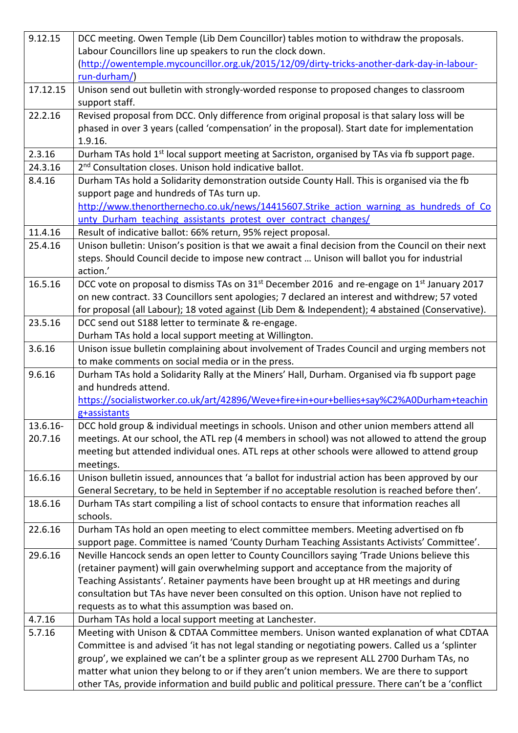| 9.12.15     | DCC meeting. Owen Temple (Lib Dem Councillor) tables motion to withdraw the proposals.                                                                                                     |
|-------------|--------------------------------------------------------------------------------------------------------------------------------------------------------------------------------------------|
|             | Labour Councillors line up speakers to run the clock down.                                                                                                                                 |
|             | (http://owentemple.mycouncillor.org.uk/2015/12/09/dirty-tricks-another-dark-day-in-labour-                                                                                                 |
|             | run-durham/)                                                                                                                                                                               |
| 17.12.15    | Unison send out bulletin with strongly-worded response to proposed changes to classroom<br>support staff.                                                                                  |
| 22.2.16     | Revised proposal from DCC. Only difference from original proposal is that salary loss will be                                                                                              |
|             | phased in over 3 years (called 'compensation' in the proposal). Start date for implementation                                                                                              |
|             | 1.9.16.                                                                                                                                                                                    |
| 2.3.16      | Durham TAs hold 1 <sup>st</sup> local support meeting at Sacriston, organised by TAs via fb support page.                                                                                  |
| 24.3.16     | 2 <sup>nd</sup> Consultation closes. Unison hold indicative ballot.                                                                                                                        |
| 8.4.16      | Durham TAs hold a Solidarity demonstration outside County Hall. This is organised via the fb                                                                                               |
|             | support page and hundreds of TAs turn up.                                                                                                                                                  |
|             | http://www.thenorthernecho.co.uk/news/14415607.Strike action warning as hundreds of Co                                                                                                     |
|             | unty Durham teaching assistants protest over contract changes/                                                                                                                             |
| 11.4.16     | Result of indicative ballot: 66% return, 95% reject proposal.                                                                                                                              |
| 25.4.16     | Unison bulletin: Unison's position is that we await a final decision from the Council on their next                                                                                        |
|             | steps. Should Council decide to impose new contract  Unison will ballot you for industrial                                                                                                 |
|             | action.'                                                                                                                                                                                   |
| 16.5.16     | DCC vote on proposal to dismiss TAs on 31 <sup>st</sup> December 2016 and re-engage on 1 <sup>st</sup> January 2017                                                                        |
|             | on new contract. 33 Councillors sent apologies; 7 declared an interest and withdrew; 57 voted                                                                                              |
|             | for proposal (all Labour); 18 voted against (Lib Dem & Independent); 4 abstained (Conservative).                                                                                           |
| 23.5.16     | DCC send out S188 letter to terminate & re-engage.                                                                                                                                         |
|             | Durham TAs hold a local support meeting at Willington.                                                                                                                                     |
| 3.6.16      | Unison issue bulletin complaining about involvement of Trades Council and urging members not                                                                                               |
|             | to make comments on social media or in the press.                                                                                                                                          |
| 9.6.16      | Durham TAs hold a Solidarity Rally at the Miners' Hall, Durham. Organised via fb support page                                                                                              |
|             | and hundreds attend.                                                                                                                                                                       |
|             | https://socialistworker.co.uk/art/42896/Weve+fire+in+our+bellies+say%C2%A0Durham+teachin                                                                                                   |
|             | g+assistants                                                                                                                                                                               |
| $13.6.16 -$ | DCC hold group & individual meetings in schools. Unison and other union members attend all                                                                                                 |
| 20.7.16     | meetings. At our school, the ATL rep (4 members in school) was not allowed to attend the group                                                                                             |
|             | meeting but attended individual ones. ATL reps at other schools were allowed to attend group                                                                                               |
|             | meetings.                                                                                                                                                                                  |
| 16.6.16     | Unison bulletin issued, announces that 'a ballot for industrial action has been approved by our                                                                                            |
|             | General Secretary, to be held in September if no acceptable resolution is reached before then'.                                                                                            |
| 18.6.16     | Durham TAs start compiling a list of school contacts to ensure that information reaches all                                                                                                |
|             | schools.                                                                                                                                                                                   |
| 22.6.16     | Durham TAs hold an open meeting to elect committee members. Meeting advertised on fb                                                                                                       |
|             | support page. Committee is named 'County Durham Teaching Assistants Activists' Committee'.                                                                                                 |
| 29.6.16     | Neville Hancock sends an open letter to County Councillors saying 'Trade Unions believe this                                                                                               |
|             | (retainer payment) will gain overwhelming support and acceptance from the majority of                                                                                                      |
|             | Teaching Assistants'. Retainer payments have been brought up at HR meetings and during<br>consultation but TAs have never been consulted on this option. Unison have not replied to        |
|             | requests as to what this assumption was based on.                                                                                                                                          |
| 4.7.16      | Durham TAs hold a local support meeting at Lanchester.                                                                                                                                     |
|             |                                                                                                                                                                                            |
| 5.7.16      | Meeting with Unison & CDTAA Committee members. Unison wanted explanation of what CDTAA<br>Committee is and advised 'it has not legal standing or negotiating powers. Called us a 'splinter |
|             | group', we explained we can't be a splinter group as we represent ALL 2700 Durham TAs, no                                                                                                  |
|             | matter what union they belong to or if they aren't union members. We are there to support                                                                                                  |
|             | other TAs, provide information and build public and political pressure. There can't be a 'conflict                                                                                         |
|             |                                                                                                                                                                                            |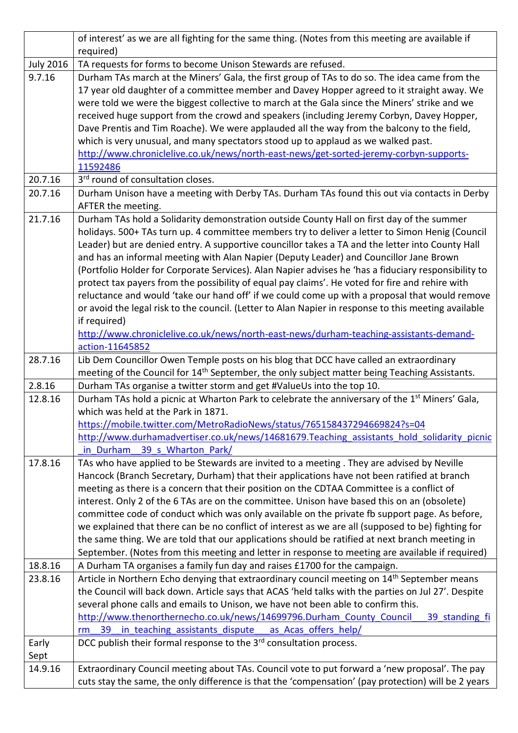|                  | of interest' as we are all fighting for the same thing. (Notes from this meeting are available if                          |
|------------------|----------------------------------------------------------------------------------------------------------------------------|
|                  | required)                                                                                                                  |
| <b>July 2016</b> | TA requests for forms to become Unison Stewards are refused.                                                               |
| 9.7.16           | Durham TAs march at the Miners' Gala, the first group of TAs to do so. The idea came from the                              |
|                  | 17 year old daughter of a committee member and Davey Hopper agreed to it straight away. We                                 |
|                  | were told we were the biggest collective to march at the Gala since the Miners' strike and we                              |
|                  | received huge support from the crowd and speakers (including Jeremy Corbyn, Davey Hopper,                                  |
|                  | Dave Prentis and Tim Roache). We were applauded all the way from the balcony to the field,                                 |
|                  | which is very unusual, and many spectators stood up to applaud as we walked past.                                          |
|                  | http://www.chroniclelive.co.uk/news/north-east-news/get-sorted-jeremy-corbyn-supports-                                     |
| 20.7.16          | 11592486<br>3 <sup>rd</sup> round of consultation closes.                                                                  |
| 20.7.16          | Durham Unison have a meeting with Derby TAs. Durham TAs found this out via contacts in Derby                               |
|                  | AFTER the meeting.                                                                                                         |
| 21.7.16          | Durham TAs hold a Solidarity demonstration outside County Hall on first day of the summer                                  |
|                  | holidays. 500+ TAs turn up. 4 committee members try to deliver a letter to Simon Henig (Council                            |
|                  | Leader) but are denied entry. A supportive councillor takes a TA and the letter into County Hall                           |
|                  | and has an informal meeting with Alan Napier (Deputy Leader) and Councillor Jane Brown                                     |
|                  | (Portfolio Holder for Corporate Services). Alan Napier advises he 'has a fiduciary responsibility to                       |
|                  | protect tax payers from the possibility of equal pay claims'. He voted for fire and rehire with                            |
|                  | reluctance and would 'take our hand off' if we could come up with a proposal that would remove                             |
|                  | or avoid the legal risk to the council. (Letter to Alan Napier in response to this meeting available                       |
|                  | if required)                                                                                                               |
|                  | http://www.chroniclelive.co.uk/news/north-east-news/durham-teaching-assistants-demand-                                     |
|                  | action-11645852                                                                                                            |
| 28.7.16          | Lib Dem Councillor Owen Temple posts on his blog that DCC have called an extraordinary                                     |
|                  | meeting of the Council for 14 <sup>th</sup> September, the only subject matter being Teaching Assistants.                  |
| 2.8.16           | Durham TAs organise a twitter storm and get #ValueUs into the top 10.                                                      |
| 12.8.16          | Durham TAs hold a picnic at Wharton Park to celebrate the anniversary of the 1 <sup>st</sup> Miners' Gala,                 |
|                  | which was held at the Park in 1871.                                                                                        |
|                  | https://mobile.twitter.com/MetroRadioNews/status/765158437294669824?s=04                                                   |
|                  | http://www.durhamadvertiser.co.uk/news/14681679.Teaching assistants hold solidarity picnic<br>in Durham 39 s Wharton Park/ |
| 17.8.16          | TAs who have applied to be Stewards are invited to a meeting. They are advised by Neville                                  |
|                  | Hancock (Branch Secretary, Durham) that their applications have not been ratified at branch                                |
|                  | meeting as there is a concern that their position on the CDTAA Committee is a conflict of                                  |
|                  | interest. Only 2 of the 6 TAs are on the committee. Unison have based this on an (obsolete)                                |
|                  | committee code of conduct which was only available on the private fb support page. As before,                              |
|                  | we explained that there can be no conflict of interest as we are all (supposed to be) fighting for                         |
|                  | the same thing. We are told that our applications should be ratified at next branch meeting in                             |
|                  | September. (Notes from this meeting and letter in response to meeting are available if required)                           |
| 18.8.16          | A Durham TA organises a family fun day and raises £1700 for the campaign.                                                  |
| 23.8.16          | Article in Northern Echo denying that extraordinary council meeting on 14 <sup>th</sup> September means                    |
|                  | the Council will back down. Article says that ACAS 'held talks with the parties on Jul 27'. Despite                        |
|                  | several phone calls and emails to Unison, we have not been able to confirm this.                                           |
|                  | http://www.thenorthernecho.co.uk/news/14699796.Durham County Council<br>39 standing fi                                     |
|                  | in teaching assistants dispute<br>as Acas offers help/<br>39<br>rm                                                         |
| Early            | DCC publish their formal response to the 3 <sup>rd</sup> consultation process.                                             |
| Sept             |                                                                                                                            |
| 14.9.16          | Extraordinary Council meeting about TAs. Council vote to put forward a 'new proposal'. The pay                             |
|                  | cuts stay the same, the only difference is that the 'compensation' (pay protection) will be 2 years                        |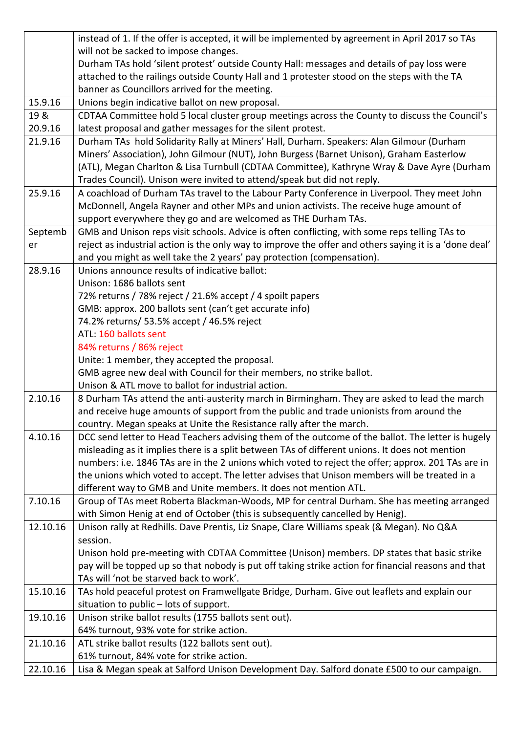|          | instead of 1. If the offer is accepted, it will be implemented by agreement in April 2017 so TAs                                                                  |
|----------|-------------------------------------------------------------------------------------------------------------------------------------------------------------------|
|          | will not be sacked to impose changes.                                                                                                                             |
|          | Durham TAs hold 'silent protest' outside County Hall: messages and details of pay loss were                                                                       |
|          | attached to the railings outside County Hall and 1 protester stood on the steps with the TA                                                                       |
|          | banner as Councillors arrived for the meeting.                                                                                                                    |
| 15.9.16  | Unions begin indicative ballot on new proposal.                                                                                                                   |
| 19 &     | CDTAA Committee hold 5 local cluster group meetings across the County to discuss the Council's                                                                    |
| 20.9.16  | latest proposal and gather messages for the silent protest.                                                                                                       |
| 21.9.16  | Durham TAs hold Solidarity Rally at Miners' Hall, Durham. Speakers: Alan Gilmour (Durham                                                                          |
|          | Miners' Association), John Gilmour (NUT), John Burgess (Barnet Unison), Graham Easterlow                                                                          |
|          | (ATL), Megan Charlton & Lisa Turnbull (CDTAA Committee), Kathryne Wray & Dave Ayre (Durham                                                                        |
|          | Trades Council). Unison were invited to attend/speak but did not reply.                                                                                           |
| 25.9.16  | A coachload of Durham TAs travel to the Labour Party Conference in Liverpool. They meet John                                                                      |
|          | McDonnell, Angela Rayner and other MPs and union activists. The receive huge amount of                                                                            |
|          | support everywhere they go and are welcomed as THE Durham TAs.                                                                                                    |
| Septemb  | GMB and Unison reps visit schools. Advice is often conflicting, with some reps telling TAs to                                                                     |
| er       | reject as industrial action is the only way to improve the offer and others saying it is a 'done deal'                                                            |
|          | and you might as well take the 2 years' pay protection (compensation).                                                                                            |
| 28.9.16  | Unions announce results of indicative ballot:                                                                                                                     |
|          | Unison: 1686 ballots sent                                                                                                                                         |
|          | 72% returns / 78% reject / 21.6% accept / 4 spoilt papers                                                                                                         |
|          | GMB: approx. 200 ballots sent (can't get accurate info)                                                                                                           |
|          | 74.2% returns/ 53.5% accept / 46.5% reject                                                                                                                        |
|          | ATL: 160 ballots sent                                                                                                                                             |
|          | 84% returns / 86% reject                                                                                                                                          |
|          |                                                                                                                                                                   |
|          | Unite: 1 member, they accepted the proposal.                                                                                                                      |
|          | GMB agree new deal with Council for their members, no strike ballot.                                                                                              |
|          | Unison & ATL move to ballot for industrial action.                                                                                                                |
| 2.10.16  | 8 Durham TAs attend the anti-austerity march in Birmingham. They are asked to lead the march                                                                      |
|          | and receive huge amounts of support from the public and trade unionists from around the                                                                           |
|          | country. Megan speaks at Unite the Resistance rally after the march.                                                                                              |
| 4.10.16  | DCC send letter to Head Teachers advising them of the outcome of the ballot. The letter is hugely                                                                 |
|          | misleading as it implies there is a split between TAs of different unions. It does not mention                                                                    |
|          | numbers: i.e. 1846 TAs are in the 2 unions which voted to reject the offer; approx. 201 TAs are in                                                                |
|          | the unions which voted to accept. The letter advises that Unison members will be treated in a<br>different way to GMB and Unite members. It does not mention ATL. |
| 7.10.16  | Group of TAs meet Roberta Blackman-Woods, MP for central Durham. She has meeting arranged                                                                         |
|          | with Simon Henig at end of October (this is subsequently cancelled by Henig).                                                                                     |
| 12.10.16 | Unison rally at Redhills. Dave Prentis, Liz Snape, Clare Williams speak (& Megan). No Q&A                                                                         |
|          | session.                                                                                                                                                          |
|          | Unison hold pre-meeting with CDTAA Committee (Unison) members. DP states that basic strike                                                                        |
|          | pay will be topped up so that nobody is put off taking strike action for financial reasons and that                                                               |
|          | TAs will 'not be starved back to work'.                                                                                                                           |
| 15.10.16 | TAs hold peaceful protest on Framwellgate Bridge, Durham. Give out leaflets and explain our                                                                       |
|          | situation to public - lots of support.                                                                                                                            |
| 19.10.16 | Unison strike ballot results (1755 ballots sent out).                                                                                                             |
|          | 64% turnout, 93% vote for strike action.                                                                                                                          |
| 21.10.16 | ATL strike ballot results (122 ballots sent out).                                                                                                                 |
| 22.10.16 | 61% turnout, 84% vote for strike action.<br>Lisa & Megan speak at Salford Unison Development Day. Salford donate £500 to our campaign.                            |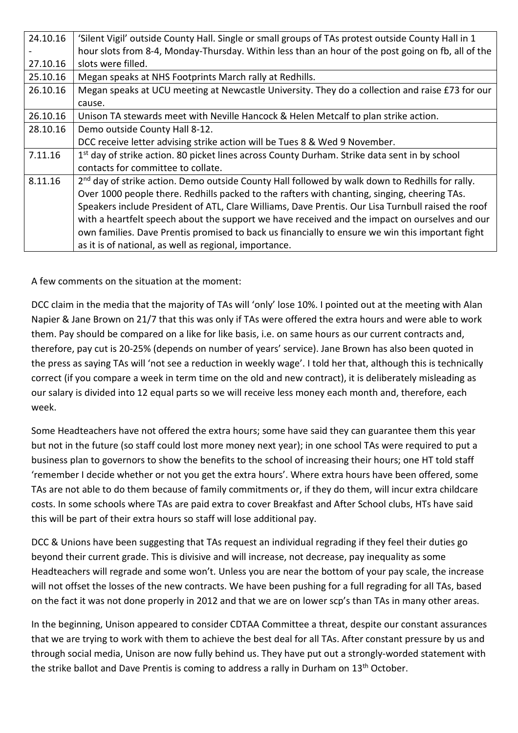| 24.10.16 | 'Silent Vigil' outside County Hall. Single or small groups of TAs protest outside County Hall in 1          |
|----------|-------------------------------------------------------------------------------------------------------------|
|          | hour slots from 8-4, Monday-Thursday. Within less than an hour of the post going on fb, all of the          |
| 27.10.16 | slots were filled.                                                                                          |
| 25.10.16 | Megan speaks at NHS Footprints March rally at Redhills.                                                     |
| 26.10.16 | Megan speaks at UCU meeting at Newcastle University. They do a collection and raise £73 for our             |
|          | cause.                                                                                                      |
| 26.10.16 | Unison TA stewards meet with Neville Hancock & Helen Metcalf to plan strike action.                         |
| 28.10.16 | Demo outside County Hall 8-12.                                                                              |
|          | DCC receive letter advising strike action will be Tues 8 & Wed 9 November.                                  |
| 7.11.16  | 1 <sup>st</sup> day of strike action. 80 picket lines across County Durham. Strike data sent in by school   |
|          | contacts for committee to collate.                                                                          |
| 8.11.16  | 2 <sup>nd</sup> day of strike action. Demo outside County Hall followed by walk down to Redhills for rally. |
|          | Over 1000 people there. Redhills packed to the rafters with chanting, singing, cheering TAs.                |
|          | Speakers include President of ATL, Clare Williams, Dave Prentis. Our Lisa Turnbull raised the roof          |
|          | with a heartfelt speech about the support we have received and the impact on ourselves and our              |
|          | own families. Dave Prentis promised to back us financially to ensure we win this important fight            |
|          | as it is of national, as well as regional, importance.                                                      |

A few comments on the situation at the moment:

DCC claim in the media that the majority of TAs will 'only' lose 10%. I pointed out at the meeting with Alan Napier & Jane Brown on 21/7 that this was only if TAs were offered the extra hours and were able to work them. Pay should be compared on a like for like basis, i.e. on same hours as our current contracts and, therefore, pay cut is 20-25% (depends on number of years' service). Jane Brown has also been quoted in the press as saying TAs will 'not see a reduction in weekly wage'. I told her that, although this is technically correct (if you compare a week in term time on the old and new contract), it is deliberately misleading as our salary is divided into 12 equal parts so we will receive less money each month and, therefore, each week.

Some Headteachers have not offered the extra hours; some have said they can guarantee them this year but not in the future (so staff could lost more money next year); in one school TAs were required to put a business plan to governors to show the benefits to the school of increasing their hours; one HT told staff 'remember I decide whether or not you get the extra hours'. Where extra hours have been offered, some TAs are not able to do them because of family commitments or, if they do them, will incur extra childcare costs. In some schools where TAs are paid extra to cover Breakfast and After School clubs, HTs have said this will be part of their extra hours so staff will lose additional pay.

DCC & Unions have been suggesting that TAs request an individual regrading if they feel their duties go beyond their current grade. This is divisive and will increase, not decrease, pay inequality as some Headteachers will regrade and some won't. Unless you are near the bottom of your pay scale, the increase will not offset the losses of the new contracts. We have been pushing for a full regrading for all TAs, based on the fact it was not done properly in 2012 and that we are on lower scp's than TAs in many other areas.

In the beginning, Unison appeared to consider CDTAA Committee a threat, despite our constant assurances that we are trying to work with them to achieve the best deal for all TAs. After constant pressure by us and through social media, Unison are now fully behind us. They have put out a strongly-worded statement with the strike ballot and Dave Prentis is coming to address a rally in Durham on 13<sup>th</sup> October.